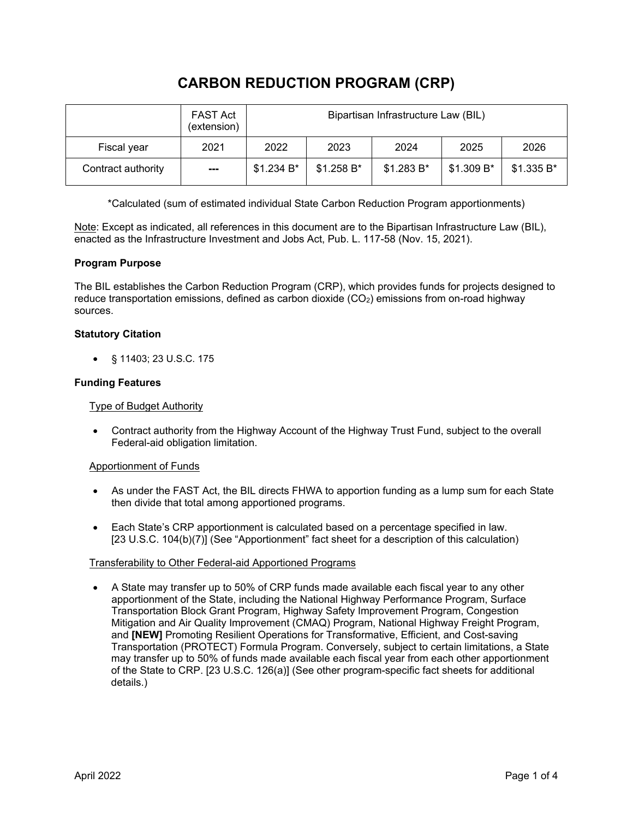# **CARBON REDUCTION PROGRAM (CRP)**

|                    | <b>FAST Act</b><br>(extension) | Bipartisan Infrastructure Law (BIL) |             |             |            |            |
|--------------------|--------------------------------|-------------------------------------|-------------|-------------|------------|------------|
| Fiscal year        | 2021                           | 2022                                | 2023        | 2024        | 2025       | 2026       |
| Contract authority | ---                            | \$1.234 B*                          | $$1.258 B*$ | $$1.283 B*$ | \$1.309 B* | \$1.335 B* |

\*Calculated (sum of estimated individual State Carbon Reduction Program apportionments)

Note: Except as indicated, all references in this document are to the Bipartisan Infrastructure Law (BIL), enacted as the Infrastructure Investment and Jobs Act, Pub. L. 117-58 (Nov. 15, 2021).

# **Program Purpose**

The BIL establishes the Carbon Reduction Program (CRP), which provides funds for projects designed to reduce transportation emissions, defined as carbon dioxide  $(CO<sub>2</sub>)$  emissions from on-road highway sources.

# **Statutory Citation**

• § 11403; 23 U.S.C. 175

### **Funding Features**

Type of Budget Authority

• Contract authority from the Highway Account of the Highway Trust Fund, subject to the overall Federal-aid obligation limitation.

### Apportionment of Funds

- As under the FAST Act, the BIL directs FHWA to apportion funding as a lump sum for each State then divide that total among apportioned programs.
- Each State's CRP apportionment is calculated based on a percentage specified in law. [23 U.S.C. 104(b)(7)] (See "Apportionment" fact sheet for a description of this calculation)

### Transferability to Other Federal-aid Apportioned Programs

• A State may transfer up to 50% of CRP funds made available each fiscal year to any other apportionment of the State, including the National Highway Performance Program, Surface Transportation Block Grant Program, Highway Safety Improvement Program, Congestion Mitigation and Air Quality Improvement (CMAQ) Program, National Highway Freight Program, and **[NEW]** Promoting Resilient Operations for Transformative, Efficient, and Cost-saving Transportation (PROTECT) Formula Program. Conversely, subject to certain limitations, a State may transfer up to 50% of funds made available each fiscal year from each other apportionment of the State to CRP. [23 U.S.C. 126(a)] (See other program-specific fact sheets for additional details.)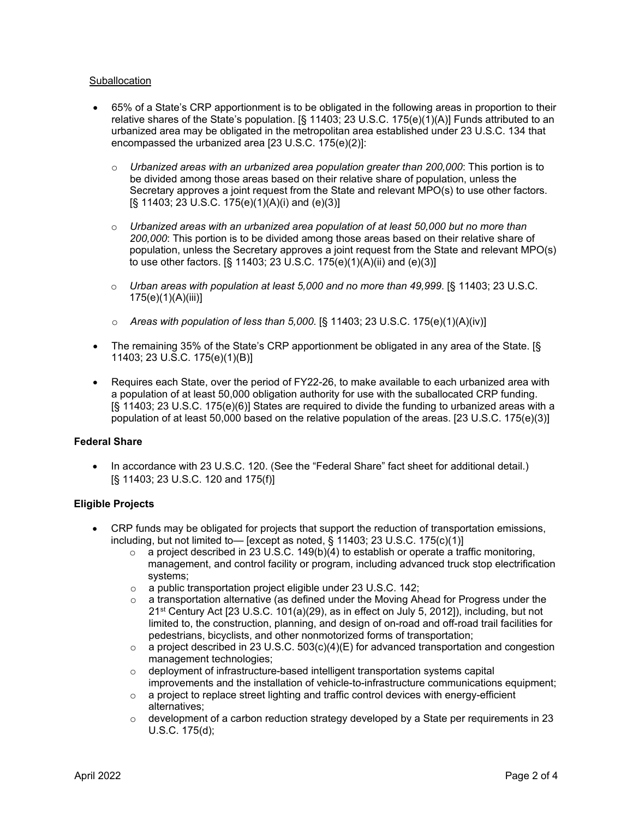#### Suballocation

- 65% of a State's CRP apportionment is to be obligated in the following areas in proportion to their relative shares of the State's population. [§ 11403; 23 U.S.C. 175(e)(1)(A)] Funds attributed to an urbanized area may be obligated in the metropolitan area established under 23 U.S.C. 134 that encompassed the urbanized area [23 U.S.C. 175(e)(2)]:
	- o *Urbanized areas with an urbanized area population greater than 200,000*: This portion is to be divided among those areas based on their relative share of population, unless the Secretary approves a joint request from the State and relevant MPO(s) to use other factors. [§ 11403; 23 U.S.C. 175(e)(1)(A)(i) and (e)(3)]
	- o *Urbanized areas with an urbanized area population of at least 50,000 but no more than 200,000*: This portion is to be divided among those areas based on their relative share of population, unless the Secretary approves a joint request from the State and relevant MPO(s) to use other factors. [§ 11403; 23 U.S.C. 175(e)(1)(A)(ii) and (e)(3)]
	- o *Urban areas with population at least 5,000 and no more than 49,999*. [§ 11403; 23 U.S.C. 175(e)(1)(A)(iii)]
	- o *Areas with population of less than 5,000*. [§ 11403; 23 U.S.C. 175(e)(1)(A)(iv)]
- The remaining 35% of the State's CRP apportionment be obligated in any area of the State. [§ 11403; 23 U.S.C. 175(e)(1)(B)]
- Requires each State, over the period of FY22-26, to make available to each urbanized area with a population of at least 50,000 obligation authority for use with the suballocated CRP funding. [§ 11403; 23 U.S.C. 175(e)(6)] States are required to divide the funding to urbanized areas with a population of at least 50,000 based on the relative population of the areas. [23 U.S.C. 175(e)(3)]

### **Federal Share**

• In accordance with 23 U.S.C. 120. (See the "Federal Share" fact sheet for additional detail.) [§ 11403; 23 U.S.C. 120 and 175(f)]

### **Eligible Projects**

- CRP funds may be obligated for projects that support the reduction of transportation emissions, including, but not limited to— [except as noted,  $\S$  11403; 23 U.S.C. 175(c)(1)]
	- $\circ$  a project described in 23 U.S.C. 149(b)(4) to establish or operate a traffic monitoring, management, and control facility or program, including advanced truck stop electrification systems;
	- o a public transportation project eligible under 23 U.S.C. 142;
	- o a transportation alternative (as defined under the Moving Ahead for Progress under the 21st Century Act [23 U.S.C. 101(a)(29), as in effect on July 5, 2012]), including, but not limited to, the construction, planning, and design of on-road and off-road trail facilities for pedestrians, bicyclists, and other nonmotorized forms of transportation;
	- $\circ$  a project described in 23 U.S.C. 503(c)(4)(E) for advanced transportation and congestion management technologies;
	- o deployment of infrastructure-based intelligent transportation systems capital improvements and the installation of vehicle-to-infrastructure communications equipment;
	- $\circ$  a project to replace street lighting and traffic control devices with energy-efficient alternatives;
	- $\circ$  development of a carbon reduction strategy developed by a State per requirements in 23 U.S.C. 175(d);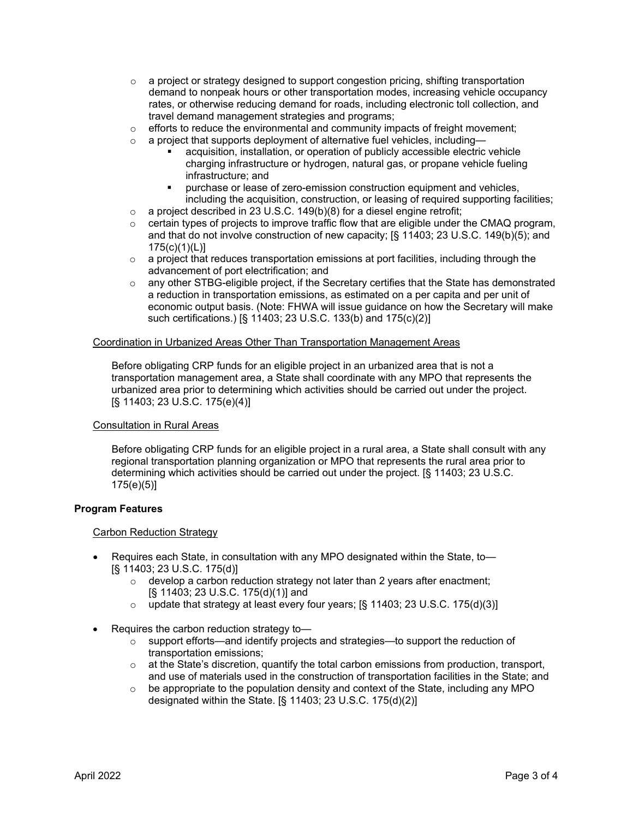- $\circ$  a project or strategy designed to support congestion pricing, shifting transportation demand to nonpeak hours or other transportation modes, increasing vehicle occupancy rates, or otherwise reducing demand for roads, including electronic toll collection, and travel demand management strategies and programs;
- $\circ$  efforts to reduce the environmental and community impacts of freight movement;<br>  $\circ$  a proiect that supports deployment of alternative fuel vehicles, including—
- a project that supports deployment of alternative fuel vehicles, including
	- acquisition, installation, or operation of publicly accessible electric vehicle charging infrastructure or hydrogen, natural gas, or propane vehicle fueling infrastructure; and
	- purchase or lease of zero-emission construction equipment and vehicles, including the acquisition, construction, or leasing of required supporting facilities;
- $\circ$  a project described in 23 U.S.C. 149(b)(8) for a diesel engine retrofit;<br>  $\circ$  certain types of projects to improve traffic flow that are eligible under to
- certain types of projects to improve traffic flow that are eligible under the CMAQ program, and that do not involve construction of new capacity; [§ 11403; 23 U.S.C. 149(b)(5); and 175(c)(1)(L)]
- o a project that reduces transportation emissions at port facilities, including through the advancement of port electrification; and
- $\circ$  any other STBG-eligible project, if the Secretary certifies that the State has demonstrated a reduction in transportation emissions, as estimated on a per capita and per unit of economic output basis. (Note: FHWA will issue guidance on how the Secretary will make such certifications.) [§ 11403; 23 U.S.C. 133(b) and 175(c)(2)]

#### Coordination in Urbanized Areas Other Than Transportation Management Areas

Before obligating CRP funds for an eligible project in an urbanized area that is not a transportation management area, a State shall coordinate with any MPO that represents the urbanized area prior to determining which activities should be carried out under the project. [§ 11403; 23 U.S.C. 175(e)(4)]

#### Consultation in Rural Areas

Before obligating CRP funds for an eligible project in a rural area, a State shall consult with any regional transportation planning organization or MPO that represents the rural area prior to determining which activities should be carried out under the project. [§ 11403; 23 U.S.C. 175(e)(5)]

### **Program Features**

### Carbon Reduction Strategy

- Requires each State, in consultation with any MPO designated within the State, to— [§ 11403; 23 U.S.C. 175(d)]
	- o develop a carbon reduction strategy not later than 2 years after enactment; [§ 11403; 23 U.S.C. 175(d)(1)] and
	- $\circ$  update that strategy at least every four years; [§ 11403; 23 U.S.C. 175(d)(3)]
- Requires the carbon reduction strategy to—
	- $\circ$  support efforts—and identify projects and strategies—to support the reduction of transportation emissions;
	- $\circ$  at the State's discretion, quantify the total carbon emissions from production, transport, and use of materials used in the construction of transportation facilities in the State; and
	- $\circ$  be appropriate to the population density and context of the State, including any MPO designated within the State. [§ 11403; 23 U.S.C. 175(d)(2)]